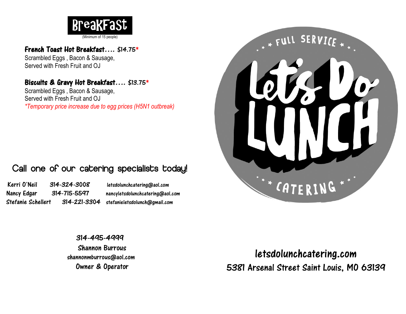

#### French Toast Hot Breakfast…. \$14.75\*

Scrambled Eggs , Bacon & Sausage, Served with Fresh Fruit and OJ

#### Biscuits & Gravy Hot Breakfast…. \$13.75\*

Scrambled Eggs , Bacon & Sausage, Served with Fresh Fruit and OJ *\*Temporary price increase due to egg prices (H5N1 outbreak)*

### Call one of our catering specialists today!

Kerri O'Neil 314-324-3008 letsdolunchcatering@aol.com Nancy Edgar 314-715-5597 nancyletsdolunchcatering@aol.com Stefanie Schellert 314-221-3304 stefanieletsdolunch@gmail.com



314-495-4999 Shannon Burrous shannonmburrous@aol.com Owner & Operator

letsdolunchcatering.com 5381 Arsenal Street Saint Louis, MO 63139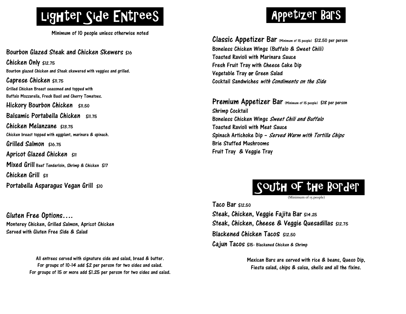

Minimum of 10 people unless otherwise noted

Bourbon Glazed Steak and Chicken Skewers \$16 Chicken Only \$12.75 Bourbon glazed Chicken and Steak skewered with veggies and grilled. Caprese Chicken \$11.75 Grilled Chicken Breast seasoned and topped with Buffalo Mozzarella, Fresh Basil and Cherry Tomatoes. Hickory Bourbon Chicken \$11.50 Balsamic Portabella Chicken \$11.75 Chicken Melanzane \$13.75 Chicken breast topped with eggplant, marinara & spinach. Grilled Salmon \$16.75 Apricot Glazed Chicken  $$11$ Mixed Grill Beef Tenderloin, Shrimp & Chicken \$17 Chicken Grill  $sin$ Portabella Asparagus Vegan Grill \$10

Gluten Free Options…. Monterey Chicken, Grilled Salmon, Apricot Chicken Served with Gluten Free Side & Salad

> All entrees served with signature side and salad, bread & butter. For groups of 10-14 add \$2 per person for two sides and salad. For groups of 15 or more add \$1.25 per person for two sides and salad.

## , Appetizer Bars .

Classic Appetizer Bar (Minimum of 15 people) \$12.50 per person Boneless Chicken Wings (Buffalo & Sweet Chili) Toasted Ravioli with Marinara Sauce Fresh Fruit Tray with Cheese Cake Dip Vegetable Tray or Green Salad Cocktail Sandwiches with Condiments on the Side

Premium Appetizer Bar (Minimum of 15 people) \$18 per person Shrimp Cocktail Boneless Chicken Wings Sweet Chili and Buffalo Toasted Ravioli with Meat Sauce Spinach Artichoke Dip – Served Warm with Tortilla Chips Brie Stuffed Mushrooms Fruit Tray & Veggie Tray



(Minimum of 15 people)

Taco Bar \$12.50 Steak, Chicken, Veggie Fajita Bar \$14.25 Steak, Chicken, Cheese & Veggie Quesadillas \$12.75 Blackened Chicken Tacos \$12.50 Cajun Tacos \$15- Blackened Chicken & Shrimp

> Mexican Bars are served with rice & beans, Queso Dip, Fiesta salad, chips & salsa, shells and all the fixins.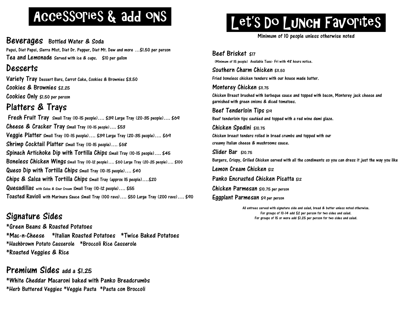## , Accessories & add ons .

Beverages Bottled Water & Soda Pepsi, Diet Pepsi, Sierra Mist, Diet Dr. Pepper, Diet Mt. Dew and more …\$1.50 per person Tea and Lemonade Served with ice & cups. \$10 per gallon

#### Desserts

Variety Tray Dessert Bars, Carrot Cake, Cookies & Brownies \$3.50 Cookies & Brownies \$2.25 Cookies Only \$1.50 per person

### Platters & Trays

 Fresh Fruit Tray Small Tray (10-15 people)…. \$39 Large Tray (20-35 people)…. \$69 Cheese & Cracker Tray Small Tray (10-15 people)…. \$53 Veggie Platter Small Tray (10-15 people)…. \$39 Large Tray (20-35 people)…. \$69 Shrimp Cocktail Platter Small Tray (10-15 people)…. \$68 Spinach Artichoke Dip with Tortilla Chips Small Tray (10-15 people)…. \$45 Boneless Chicken Wings Small Tray (10-12 people)…. \$<sup>60</sup> Large Tray (20-25 people)…. \$<sup>100</sup> Queso Dip with Tortilla Chips Small Tray (10-15 people)…. \$40 Chips & Salsa with Tortilla Chips Small Tray (approx 15 people)….\$20 Quesadillas with Salsa & Sour Cream Small Tray (10-12 people)…. \$55 Toasted Ravioli with Marinara Sauce Small Tray (100 ravs)…. \$50 Large Tray (200 ravs)…. \$90

### Signature Sides

\*Green Beans & Roasted Potatoes \*Mac-n-Cheese \*Italian Roasted Potatoes \*Twice Baked Potatoes \*Hashbrown Potato Casserole \*Broccoli Rice Casserole \*Roasted Veggies & Rice

#### Premium Sides add a \$1.25

\*White Cheddar Macaroni baked with Panko Breadcrumbs \*Herb Buttered Veggies \*Veggie Pasta \*Pasta con Broccoli

# Let'S DO LUNCH FavoriteS

Minimum of 10 people unless otherwise noted

Beef Brisket \$17 (Minimum of 15 people) Available Tues- Fri with 48 hours notice. Southern Charm Chicken  $<sub>50</sub>$ </sub> Fried boneless chicken tenders with our house made batter. Monterey Chicken \$11.75 Chicken Breast brushed with barbeque sauce and topped with bacon, Monterey jack cheese and garnished with green onions & diced tomatoes. Beef Tenderloin Tips \$19 Beef tenderloin tips sautéed and topped with a red wine demi glaze. Chicken Spedini \$10.75 Chicken breast tenders rolled in bread crumbs and topped with our creamy Italian cheese & mushrooms sauce. Slider Bar \$10.75 Burgers, Crispy, Grilled Chicken served with all the condiments so you can dress it just the way you like Lemon Cream Chicken \$12 Panko Encrusted Chicken Picatta \$12 Chicken Parmesan \$10.75 per person Eggplant Parmesan \$9 per person

> All entrees served with signature side and salad, bread & butter unless noted otherwise. For groups of 10-14 add \$2 per person for two sides and salad. For groups of 15 or more add \$1.25 per person for two sides and salad.